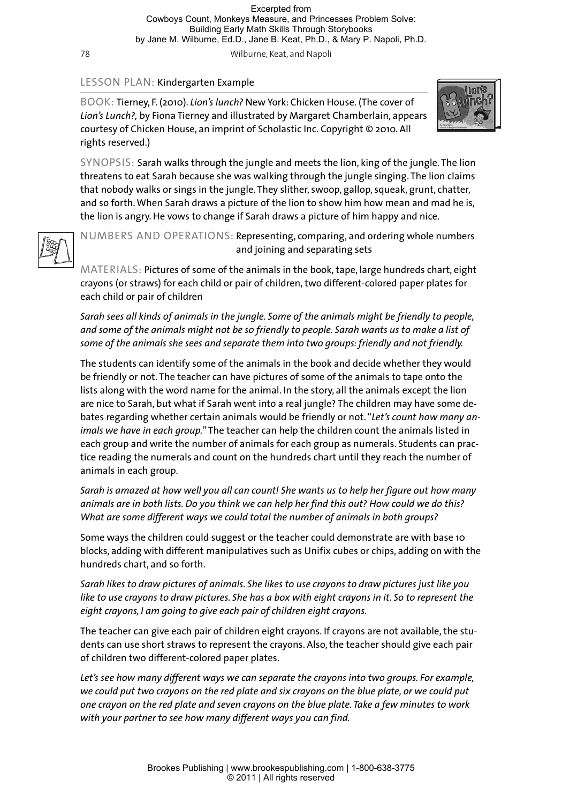78 Wilburne, Keat, and Napoli

## LESSON PLAN: Kindergarten Example

BOOK: Tierney, F. (2010). *Lion's lunch?* New York: Chicken House. (The cover of *Lion's Lunch?,* by Fiona Tierney and illustrated by Margaret Chamberlain, appears courtesy of Chicken House, an imprint of Scholastic Inc. Copyright © 2010. All rights reserved.)



SYNOPSIS: Sarah walks through the jungle and meets the lion, king of the jungle. The lion threatens to eat Sarah because she was walking through the jungle singing. The lion claims that nobody walks or sings in the jungle. They slither, swoop, gallop, squeak, grunt, chatter, and so forth. When Sarah draws a picture of the lion to show him how mean and mad he is, the lion is angry. He vows to change if Sarah draws a picture of him happy and nice.



NUMBERS AND OPERATIONS: Representing, comparing, and ordering whole numbers and joining and separating sets

MATERIALS: Pictures of some of the animals in the book, tape, large hundreds chart, eight crayons (or straws) for each child or pair of children, two different-colored paper plates for each child or pair of children

*Sarah sees all kinds of animals in the jungle. Some of the animals might be friendly to people, and some of the animals might not be so friendly to people. Sarah wants us to make a list of some of the animals she sees and separate them into two groups: friendly and not friendly.*

The students can identify some of the animals in the book and decide whether they would be friendly or not. The teacher can have pictures of some of the animals to tape onto the lists along with the word name for the animal. In the story, all the animals except the lion are nice to Sarah, but what if Sarah went into a real jungle? The children may have some debates regarding whether certain animals would be friendly or not. "*Let's count how many animals we have in each group.*" The teacher can help the children count the animals listed in each group and write the number of animals for each group as numerals. Students can practice reading the numerals and count on the hundreds chart until they reach the number of animals in each group.

*Sarah is amazed at how well you all can count! She wants us to help her figure out how many animals are in both lists. Do you think we can help her find this out? How could we do this? What are some different ways we could total the number of animals in both groups?*

Some ways the children could suggest or the teacher could demonstrate are with base 10 blocks, adding with different manipulatives such as Unifix cubes or chips, adding on with the hundreds chart, and so forth.

*Sarah likes to draw pictures of animals. She likes to use crayons to draw pictures just like you like to use crayons to draw pictures. She has a box with eight crayons in it. So to represent the eight crayons, I am going to give each pair of children eight crayons.*

The teacher can give each pair of children eight crayons. If crayons are not available, the students can use short straws to represent the crayons. Also, the teacher should give each pair of children two different-colored paper plates.

*Let's see how many different ways we can separate the crayons into two groups. For example, we could put two crayons on the red plate and six crayons on the blue plate, or we could put one crayon on the red plate and seven crayons on the blue plate. Take a few minutes to work with your partner to see how many different ways you can find.*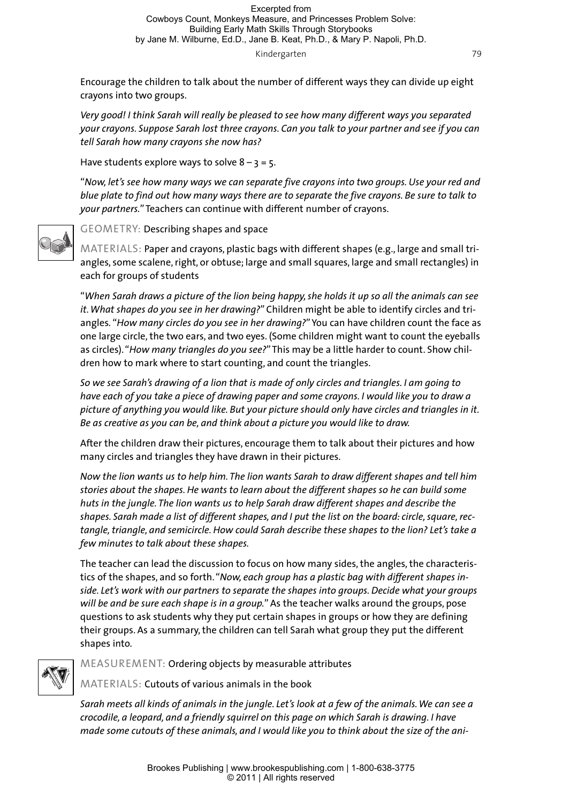## Kindergarten 79

Encourage the children to talk about the number of different ways they can divide up eight crayons into two groups.

*Very good! I think Sarah will really be pleased to see how many different ways you separated your crayons. Suppose Sarah lost three crayons. Can you talk to your partner and see if you can tell Sarah how many crayons she now has?*

Have students explore ways to solve  $8 - 3 = 5$ .

"*Now, let's see how many ways we can separate five crayons into two groups. Use your red and blue plate to find out how many ways there are to separate the five crayons. Be sure to talk to your partners.*" Teachers can continue with different number of crayons.



GEOMETRY: Describing shapes and space

MATERIALS: Paper and crayons, plastic bags with different shapes (e.g., large and small triangles, some scalene, right, or obtuse; large and small squares, large and small rectangles) in each for groups of students

"*When Sarah draws a picture of the lion being happy, she holds it up so all the animals can see it. What shapes do you see in her drawing?*" Children might be able to identify circles and triangles*.* "*How many circles do you see in her drawing?*" You can have children count the face as one large circle, the two ears, and two eyes. (Some children might want to count the eyeballs as circles). "*How many triangles do you see?*" This may be a little harder to count. Show children how to mark where to start counting, and count the triangles.

*So we see Sarah's drawing of a lion that is made of only circles and triangles. I am going to have each of you take a piece of drawing paper and some crayons. I would like you to draw a picture of anything you would like. But your picture should only have circles and triangles in it. Be as creative as you can be, and think about a picture you would like to draw.*

After the children draw their pictures, encourage them to talk about their pictures and how many circles and triangles they have drawn in their pictures.

*Now the lion wants us to help him. The lion wants Sarah to draw different shapes and tell him stories about the shapes. He wants to learn about the different shapes so he can build some huts in the jungle. The lion wants us to help Sarah draw different shapes and describe the shapes. Sarah made a list of different shapes, and I put the list on the board: circle, square, rectangle, triangle, and semicircle. How could Sarah describe these shapes to the lion? Let's take a few minutes to talk about these shapes.*

The teacher can lead the discussion to focus on how many sides, the angles, the characteristics of the shapes, and so forth. "*Now, each group has a plastic bag with different shapes inside. Let's work with our partners to separate the shapes into groups. Decide what your groups will be and be sure each shape is in a group.*" As the teacher walks around the groups, pose questions to ask students why they put certain shapes in groups or how they are defining their groups. As a summary, the children can tell Sarah what group they put the different shapes into.



MEASUREMENT: Ordering objects by measurable attributes

MATERIALS: Cutouts of various animals in the book

*Sarah meets all kinds of animals in the jungle. Let's look at a few of the animals. We can see a crocodile, a leopard, and a friendly squirrel on this page on which Sarah is drawing. I have made some cutouts of these animals, and I would like you to think about the size of the ani-*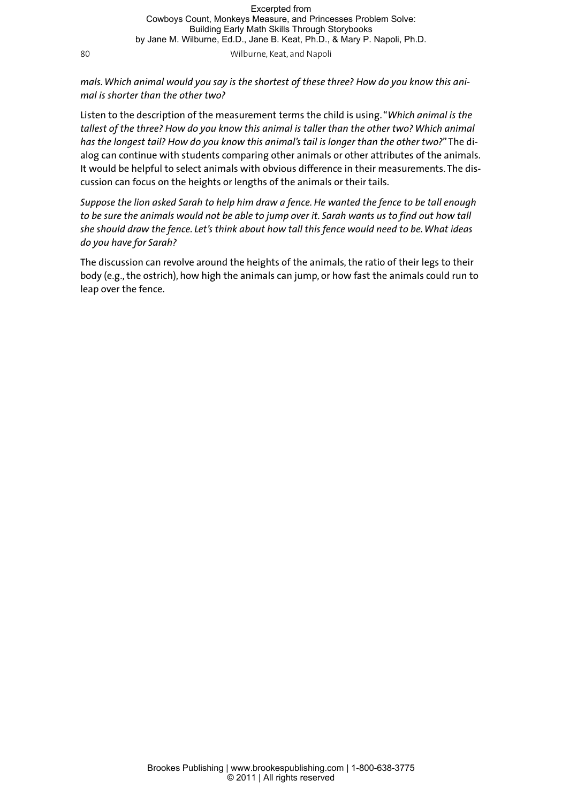80 Wilburne, Keat, and Napoli

*mals. Which animal would you say is the shortest of these three? How do you know this animal is shorter than the other two?*

Listen to the description of the measurement terms the child is using. "*Which animal is the tallest of the three? How do you know this animal is taller than the other two? Which animal has the longest tail? How do you know this animal's tail is longer than the other two?*" The dialog can continue with students comparing other animals or other attributes of the animals. It would be helpful to select animals with obvious difference in their measurements. The discussion can focus on the heights or lengths of the animals or their tails.

*Suppose the lion asked Sarah to help him draw a fence. He wanted the fence to be tall enough to be sure the animals would not be able to jump over it. Sarah wants us to find out how tall she should draw the fence. Let's think about how tall this fence would need to be. What ideas do you have for Sarah?*

The discussion can revolve around the heights of the animals, the ratio of their legs to their body (e.g., the ostrich), how high the animals can jump, or how fast the animals could run to leap over the fence.